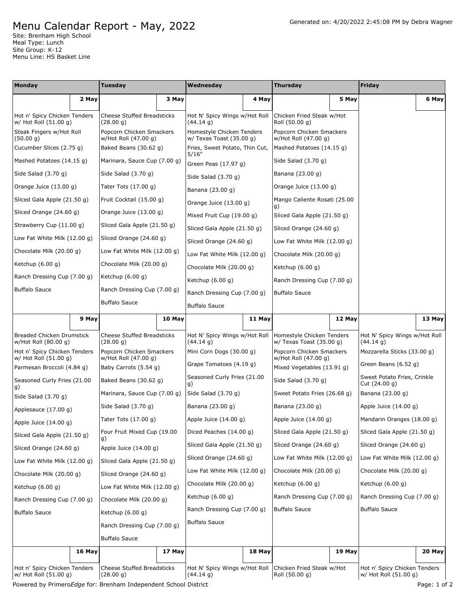## Generated on: 4/20/2022 2:45:08 PM by Debra Wagner

## Menu Calendar Report - May, 2022

Site: Brenham High School Meal Type: Lunch Site Group: K-12 Menu Line: HS Basket Line

| Monday                                                |                          | Tuesday                                          |                             | Wednesday                                             |                             | <b>Thursday</b>                                         |                         | Friday                                                |        |
|-------------------------------------------------------|--------------------------|--------------------------------------------------|-----------------------------|-------------------------------------------------------|-----------------------------|---------------------------------------------------------|-------------------------|-------------------------------------------------------|--------|
|                                                       | 2 May                    |                                                  | 3 May                       |                                                       | 4 May                       |                                                         | 5 May                   |                                                       | 6 May  |
| Hot n' Spicy Chicken Tenders<br>w/ Hot Roll (51.00 g) |                          | <b>Cheese Stuffed Breadsticks</b><br>(28.00 q)   |                             | Hot N' Spicy Wings w/Hot Roll<br>(44.14 g)            |                             | Chicken Fried Steak w/Hot<br>Roll (50.00 g)             |                         |                                                       |        |
| Steak Fingers w/Hot Roll<br>(50.00 g)                 |                          | Popcorn Chicken Smackers<br>w/Hot Roll (47.00 g) |                             | Homestyle Chicken Tenders<br>w/ Texas Toast (35.00 g) |                             | Popcorn Chicken Smackers<br>w/Hot Roll (47.00 g)        |                         |                                                       |        |
| Cucumber Slices (2.75 g)                              |                          | Baked Beans (30.62 g)                            |                             | Fries, Sweet Potato, Thin Cut,                        |                             | Mashed Potatoes (14.15 g)                               |                         |                                                       |        |
| Mashed Potatoes (14.15 g)                             |                          | Marinara, Sauce Cup (7.00 g)                     |                             | 5/16"<br>Green Peas (17.97 g)                         |                             | Side Salad $(3.70 g)$                                   |                         |                                                       |        |
| Side Salad (3.70 g)                                   |                          | Side Salad (3.70 g)                              |                             | Side Salad $(3.70 g)$                                 |                             | Banana (23.00 g)                                        |                         |                                                       |        |
| Orange Juice (13.00 g)                                |                          | Tater Tots (17.00 g)                             |                             | Banana (23.00 g)                                      |                             | Orange Juice (13.00 g)                                  |                         |                                                       |        |
| Sliced Gala Apple (21.50 g)                           |                          | Fruit Cocktail (15.00 g)                         |                             | Orange Juice (13.00 g)                                |                             | Mango Caliente Rosati (25.00<br>g)                      |                         |                                                       |        |
| Sliced Orange (24.60 g)                               |                          | Orange Juice (13.00 g)                           |                             | Mixed Fruit Cup (19.00 g)                             |                             | Sliced Gala Apple (21.50 g)                             |                         |                                                       |        |
|                                                       | Strawberry Cup (11.00 g) |                                                  | Sliced Gala Apple (21.50 g) |                                                       | Sliced Gala Apple (21.50 g) |                                                         | Sliced Orange (24.60 g) |                                                       |        |
| Low Fat White Milk (12.00 g)                          |                          | Sliced Orange (24.60 g)                          |                             | Sliced Orange (24.60 g)                               |                             | Low Fat White Milk (12.00 g)                            |                         |                                                       |        |
| Chocolate Milk (20.00 g)                              |                          | Low Fat White Milk (12.00 g)                     |                             | Low Fat White Milk (12.00 g)                          |                             | Chocolate Milk (20.00 g)                                |                         |                                                       |        |
| Ketchup (6.00 g)                                      |                          | Chocolate Milk (20.00 g)                         |                             | Chocolate Milk (20.00 g)                              |                             | Ketchup $(6.00 g)$                                      |                         |                                                       |        |
| Ranch Dressing Cup (7.00 g)                           |                          | Ketchup $(6.00 g)$                               |                             | Ketchup (6.00 g)                                      |                             | Ranch Dressing Cup (7.00 g)                             |                         |                                                       |        |
| <b>Buffalo Sauce</b>                                  |                          |                                                  | Ranch Dressing Cup (7.00 g) |                                                       | Ranch Dressing Cup (7.00 g) |                                                         | <b>Buffalo Sauce</b>    |                                                       |        |
|                                                       |                          |                                                  | <b>Buffalo Sauce</b>        |                                                       | Buffalo Sauce               |                                                         |                         |                                                       |        |
|                                                       | 9 May                    |                                                  | 10 May                      |                                                       | 11 May                      |                                                         | 12 May                  |                                                       | 13 May |
| Breaded Chicken Drumstick<br>w/Hot Roll (80.00 g)     |                          | <b>Cheese Stuffed Breadsticks</b><br>(28.00 g)   |                             | Hot N' Spicy Wings w/Hot Roll<br>(44.14 g)            |                             | Homestyle Chicken Tenders<br>w/ Texas Toast $(35.00 g)$ |                         | Hot N' Spicy Wings w/Hot Roll<br>(44.14 g)            |        |
| Hot n' Spicy Chicken Tenders<br>w/ Hot Roll (51.00 g) |                          | Popcorn Chicken Smackers<br>w/Hot Roll (47.00 g) |                             | Mini Corn Dogs (30.00 g)                              |                             | Popcorn Chicken Smackers<br>w/Hot Roll (47.00 g)        |                         | Mozzarella Sticks (33.00 g)                           |        |
| Parmesan Broccoli (4.84 g)                            |                          | Baby Carrots (5.54 g)                            |                             | Grape Tomatoes (4.19 g)                               |                             | Mixed Vegetables (13.91 g)                              |                         | Green Beans (6.52 g)                                  |        |
| Seasoned Curly Fries (21.00<br>g)                     |                          | Baked Beans (30.62 g)                            |                             | Seasoned Curly Fries (21.00<br>g)                     |                             | Side Salad (3.70 g)                                     |                         | Sweet Potato Fries, Crinkle<br>Cut (24.00 g)          |        |
| Side Salad (3.70 g)                                   |                          | Marinara, Sauce Cup (7.00 g)                     |                             | Side Salad $(3.70 g)$                                 |                             | Sweet Potato Fries (26.68 g)                            |                         | Banana (23.00 g)                                      |        |
| Applesauce (17.00 g)                                  |                          | Side Salad (3.70 g)                              |                             | Banana (23.00 g)                                      |                             | Banana (23.00 g)                                        |                         | Apple Juice (14.00 g)                                 |        |
| Apple Juice (14.00 g)                                 |                          | Tater Tots (17.00 g)                             |                             | Apple Juice (14.00 g)                                 |                             | Apple Juice $(14.00 g)$                                 |                         | Mandarin Oranges (18.00 g)                            |        |
| Sliced Gala Apple (21.50 g)                           |                          | Four Fruit Mixed Cup (19.00<br>g)                |                             | Diced Peaches (14.00 g)                               |                             | Sliced Gala Apple (21.50 g)                             |                         | Sliced Gala Apple (21.50 g)                           |        |
| Sliced Orange (24.60 g)                               |                          | Apple Juice $(14.00 g)$                          |                             | Sliced Gala Apple (21.50 g)                           |                             | Sliced Orange (24.60 g)                                 |                         | Sliced Orange (24.60 g)                               |        |
| Low Fat White Milk (12.00 g)                          |                          | Sliced Gala Apple (21.50 g)                      |                             | Sliced Orange (24.60 g)                               |                             | Low Fat White Milk (12.00 g)                            |                         | Low Fat White Milk (12.00 g)                          |        |
| Chocolate Milk (20.00 q)                              |                          | Sliced Orange (24.60 g)                          |                             | Low Fat White Milk (12.00 g)                          |                             | Chocolate Milk (20.00 q)                                |                         | Chocolate Milk (20.00 g)                              |        |
| Ketchup (6.00 g)                                      |                          | Low Fat White Milk (12.00 g)                     |                             | Chocolate Milk (20.00 g)                              |                             | Ketchup $(6.00 g)$                                      |                         | Ketchup $(6.00 q)$                                    |        |
| Ranch Dressing Cup (7.00 g)                           |                          | Chocolate Milk (20.00 g)                         |                             | Ketchup (6.00 g)                                      |                             | Ranch Dressing Cup (7.00 g)                             |                         | Ranch Dressing Cup (7.00 g)                           |        |
| <b>Buffalo Sauce</b>                                  |                          | Ketchup $(6.00 g)$                               |                             | Ranch Dressing Cup (7.00 g)                           |                             | <b>Buffalo Sauce</b>                                    |                         | <b>Buffalo Sauce</b>                                  |        |
|                                                       |                          | Ranch Dressing Cup (7.00 g)                      |                             | <b>Buffalo Sauce</b>                                  |                             |                                                         |                         |                                                       |        |
|                                                       |                          | <b>Buffalo Sauce</b>                             |                             |                                                       |                             |                                                         |                         |                                                       |        |
|                                                       | 16 May                   |                                                  | 17 May                      |                                                       | 18 May                      |                                                         | 19 May                  |                                                       | 20 May |
| Hot n' Spicy Chicken Tenders<br>w/ Hot Roll (51.00 g) |                          | <b>Cheese Stuffed Breadsticks</b><br>(28.00 g)   |                             | Hot N' Spicy Wings w/Hot Roll<br>(44.14 g)            |                             | Chicken Fried Steak w/Hot<br>Roll (50.00 g)             |                         | Hot n' Spicy Chicken Tenders<br>w/ Hot Roll (51.00 g) |        |

Powered by Primero*Edge* for: Brenham Independent School District **Page: 1 of 2** Page: 1 of 2